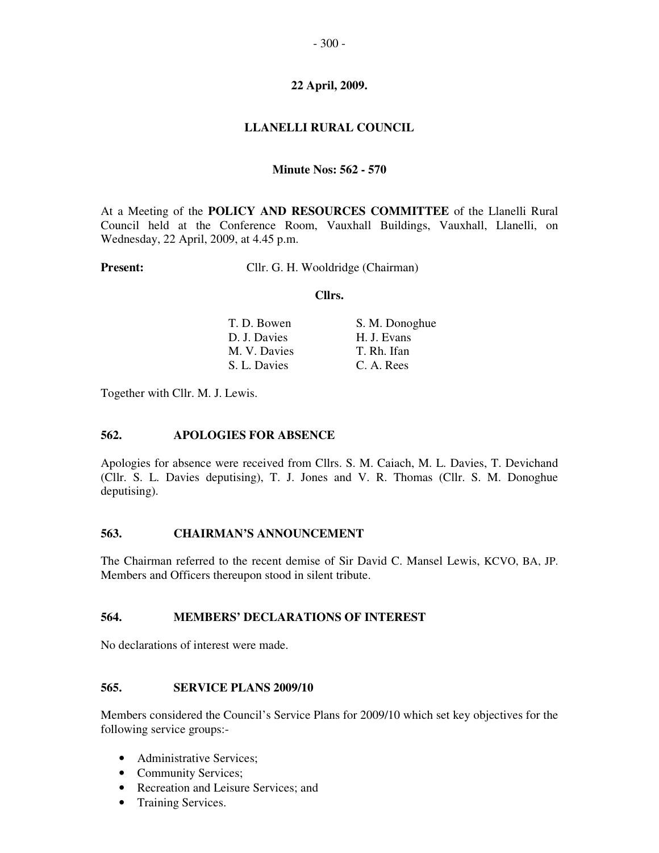# **LLANELLI RURAL COUNCIL**

### **Minute Nos: 562 - 570**

At a Meeting of the **POLICY AND RESOURCES COMMITTEE** of the Llanelli Rural Council held at the Conference Room, Vauxhall Buildings, Vauxhall, Llanelli, on Wednesday, 22 April, 2009, at 4.45 p.m.

**Present:** Cllr. G. H. Wooldridge (Chairman)

#### **Cllrs.**

| T. D. Bowen  | S. M. Donoghue |
|--------------|----------------|
| D. J. Davies | H. J. Evans    |
| M. V. Davies | T. Rh. Ifan    |
| S. L. Davies | C. A. Rees     |

Together with Cllr. M. J. Lewis.

## **562. APOLOGIES FOR ABSENCE**

Apologies for absence were received from Cllrs. S. M. Caiach, M. L. Davies, T. Devichand (Cllr. S. L. Davies deputising), T. J. Jones and V. R. Thomas (Cllr. S. M. Donoghue deputising).

## **563. CHAIRMAN'S ANNOUNCEMENT**

The Chairman referred to the recent demise of Sir David C. Mansel Lewis, KCVO, BA, JP. Members and Officers thereupon stood in silent tribute.

#### **564. MEMBERS' DECLARATIONS OF INTEREST**

No declarations of interest were made.

## **565. SERVICE PLANS 2009/10**

Members considered the Council's Service Plans for 2009/10 which set key objectives for the following service groups:-

- Administrative Services;
- Community Services;
- Recreation and Leisure Services; and
- Training Services.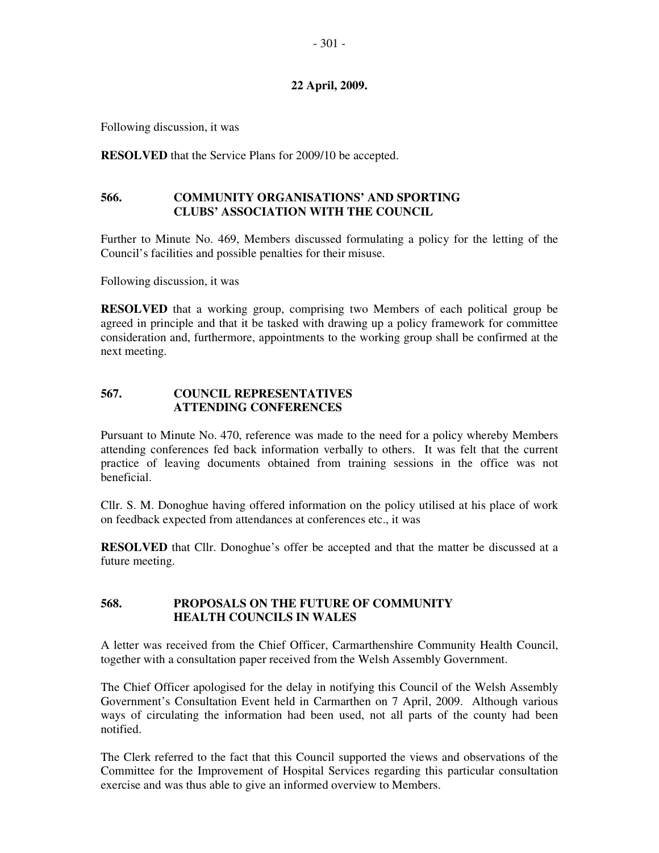Following discussion, it was

**RESOLVED** that the Service Plans for 2009/10 be accepted.

## **566. COMMUNITY ORGANISATIONS' AND SPORTING CLUBS' ASSOCIATION WITH THE COUNCIL**

Further to Minute No. 469, Members discussed formulating a policy for the letting of the Council's facilities and possible penalties for their misuse.

Following discussion, it was

**RESOLVED** that a working group, comprising two Members of each political group be agreed in principle and that it be tasked with drawing up a policy framework for committee consideration and, furthermore, appointments to the working group shall be confirmed at the next meeting.

## **567. COUNCIL REPRESENTATIVES ATTENDING CONFERENCES**

Pursuant to Minute No. 470, reference was made to the need for a policy whereby Members attending conferences fed back information verbally to others. It was felt that the current practice of leaving documents obtained from training sessions in the office was not beneficial.

Cllr. S. M. Donoghue having offered information on the policy utilised at his place of work on feedback expected from attendances at conferences etc., it was

**RESOLVED** that Cllr. Donoghue's offer be accepted and that the matter be discussed at a future meeting.

### **568. PROPOSALS ON THE FUTURE OF COMMUNITY HEALTH COUNCILS IN WALES**

A letter was received from the Chief Officer, Carmarthenshire Community Health Council, together with a consultation paper received from the Welsh Assembly Government.

The Chief Officer apologised for the delay in notifying this Council of the Welsh Assembly Government's Consultation Event held in Carmarthen on 7 April, 2009. Although various ways of circulating the information had been used, not all parts of the county had been notified.

The Clerk referred to the fact that this Council supported the views and observations of the Committee for the Improvement of Hospital Services regarding this particular consultation exercise and was thus able to give an informed overview to Members.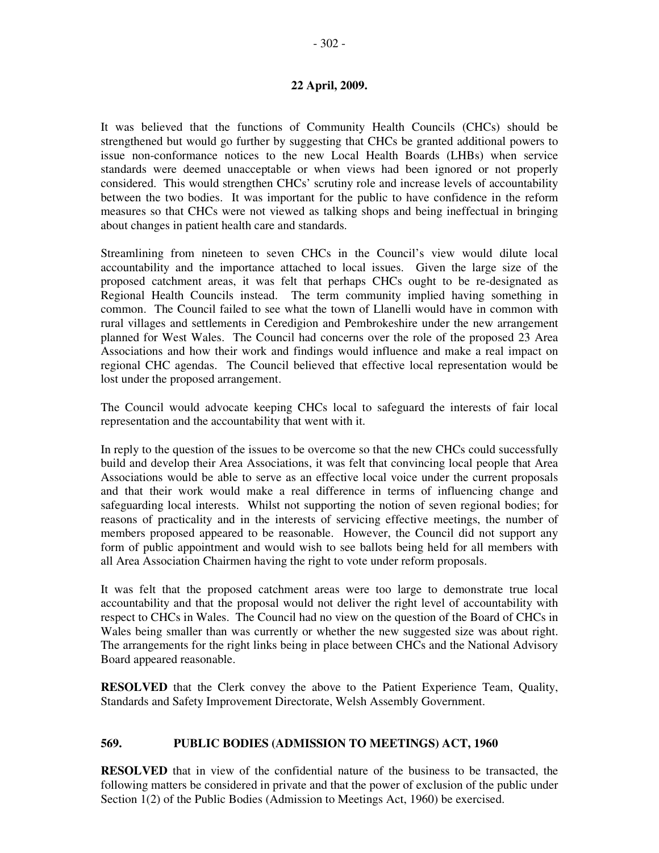It was believed that the functions of Community Health Councils (CHCs) should be strengthened but would go further by suggesting that CHCs be granted additional powers to issue non-conformance notices to the new Local Health Boards (LHBs) when service standards were deemed unacceptable or when views had been ignored or not properly considered. This would strengthen CHCs' scrutiny role and increase levels of accountability between the two bodies. It was important for the public to have confidence in the reform measures so that CHCs were not viewed as talking shops and being ineffectual in bringing about changes in patient health care and standards.

Streamlining from nineteen to seven CHCs in the Council's view would dilute local accountability and the importance attached to local issues. Given the large size of the proposed catchment areas, it was felt that perhaps CHCs ought to be re-designated as Regional Health Councils instead. The term community implied having something in common. The Council failed to see what the town of Llanelli would have in common with rural villages and settlements in Ceredigion and Pembrokeshire under the new arrangement planned for West Wales. The Council had concerns over the role of the proposed 23 Area Associations and how their work and findings would influence and make a real impact on regional CHC agendas. The Council believed that effective local representation would be lost under the proposed arrangement.

The Council would advocate keeping CHCs local to safeguard the interests of fair local representation and the accountability that went with it.

In reply to the question of the issues to be overcome so that the new CHCs could successfully build and develop their Area Associations, it was felt that convincing local people that Area Associations would be able to serve as an effective local voice under the current proposals and that their work would make a real difference in terms of influencing change and safeguarding local interests. Whilst not supporting the notion of seven regional bodies; for reasons of practicality and in the interests of servicing effective meetings, the number of members proposed appeared to be reasonable. However, the Council did not support any form of public appointment and would wish to see ballots being held for all members with all Area Association Chairmen having the right to vote under reform proposals.

It was felt that the proposed catchment areas were too large to demonstrate true local accountability and that the proposal would not deliver the right level of accountability with respect to CHCs in Wales. The Council had no view on the question of the Board of CHCs in Wales being smaller than was currently or whether the new suggested size was about right. The arrangements for the right links being in place between CHCs and the National Advisory Board appeared reasonable.

**RESOLVED** that the Clerk convey the above to the Patient Experience Team, Quality, Standards and Safety Improvement Directorate, Welsh Assembly Government.

#### **569. PUBLIC BODIES (ADMISSION TO MEETINGS) ACT, 1960**

**RESOLVED** that in view of the confidential nature of the business to be transacted, the following matters be considered in private and that the power of exclusion of the public under Section 1(2) of the Public Bodies (Admission to Meetings Act, 1960) be exercised.